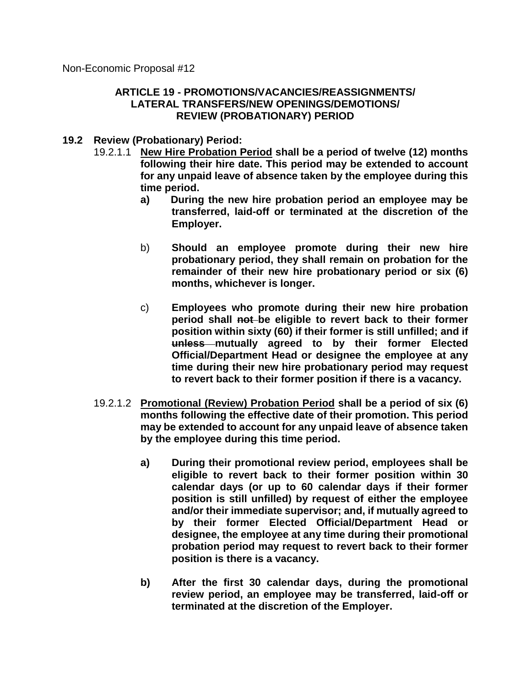Non-Economic Proposal #12

## **ARTICLE 19 - PROMOTIONS/VACANCIES/REASSIGNMENTS/ LATERAL TRANSFERS/NEW OPENINGS/DEMOTIONS/ REVIEW (PROBATIONARY) PERIOD**

- **19.2 Review (Probationary) Period:**
	- 19.2.1.1 **New Hire Probation Period shall be a period of twelve (12) months following their hire date. This period may be extended to account for any unpaid leave of absence taken by the employee during this time period.**
		- **a) During the new hire probation period an employee may be transferred, laid-off or terminated at the discretion of the Employer.**
		- b) **Should an employee promote during their new hire probationary period, they shall remain on probation for the remainder of their new hire probationary period or six (6) months, whichever is longer.**
		- c) **Employees who promote during their new hire probation period shall not be eligible to revert back to their former position within sixty (60) if their former is still unfilled; and if unless mutually agreed to by their former Elected Official/Department Head or designee the employee at any time during their new hire probationary period may request to revert back to their former position if there is a vacancy.**
	- 19.2.1.2 **Promotional (Review) Probation Period shall be a period of six (6) months following the effective date of their promotion. This period may be extended to account for any unpaid leave of absence taken by the employee during this time period.**
		- **a) During their promotional review period, employees shall be eligible to revert back to their former position within 30 calendar days (or up to 60 calendar days if their former position is still unfilled) by request of either the employee and/or their immediate supervisor; and, if mutually agreed to by their former Elected Official/Department Head or designee, the employee at any time during their promotional probation period may request to revert back to their former position is there is a vacancy.**
		- **b) After the first 30 calendar days, during the promotional review period, an employee may be transferred, laid-off or terminated at the discretion of the Employer.**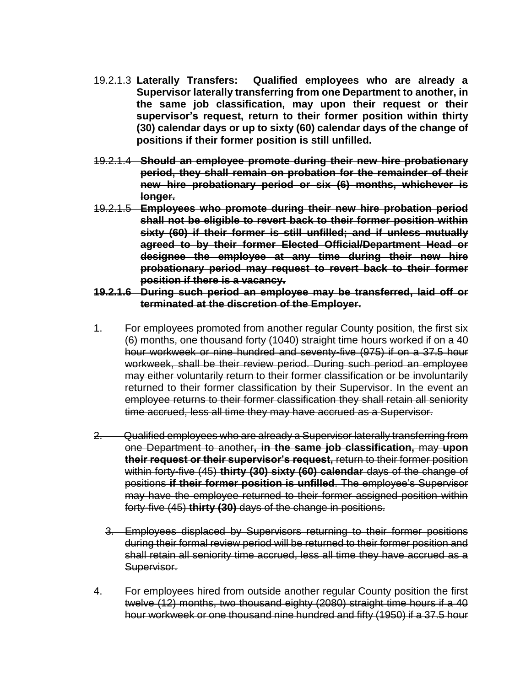- 19.2.1.3 **Laterally Transfers: Qualified employees who are already a Supervisor laterally transferring from one Department to another, in the same job classification, may upon their request or their supervisor's request, return to their former position within thirty (30) calendar days or up to sixty (60) calendar days of the change of positions if their former position is still unfilled.**
- 19.2.1.4 **Should an employee promote during their new hire probationary period, they shall remain on probation for the remainder of their new hire probationary period or six (6) months, whichever is longer.**
- 19.2.1.5 **Employees who promote during their new hire probation period shall not be eligible to revert back to their former position within sixty (60) if their former is still unfilled; and if unless mutually agreed to by their former Elected Official/Department Head or designee the employee at any time during their new hire probationary period may request to revert back to their former position if there is a vacancy.**
- **19.2.1.6 During such period an employee may be transferred, laid off or terminated at the discretion of the Employer.**
- 1. For employees promoted from another regular County position, the first six (6) months, one thousand forty (1040) straight time hours worked if on a 40 hour workweek or nine hundred and seventy-five (975) if on a 37.5 hour workweek, shall be their review period. During such period an employee may either voluntarily return to their former classification or be involuntarily returned to their former classification by their Supervisor. In the event an employee returns to their former classification they shall retain all seniority time accrued, less all time they may have accrued as a Supervisor.
- 2. Qualified employees who are already a Supervisor laterally transferring from one Department to another**, in the same job classification,** may **upon their request or their supervisor's request,** return to their former position within forty-five (45) **thirty (30) sixty (60) calendar** days of the change of positions **if their former position is unfilled**. The employee's Supervisor may have the employee returned to their former assigned position within forty-five (45) **thirty (30)** days of the change in positions.
	- 3. Employees displaced by Supervisors returning to their former positions during their formal review period will be returned to their former position and shall retain all seniority time accrued, less all time they have accrued as a Supervisor.
- 4. For employees hired from outside another regular County position the first twelve (12) months, two thousand eighty (2080) straight time hours if a 40 hour workweek or one thousand nine hundred and fifty (1950) if a 37.5 hour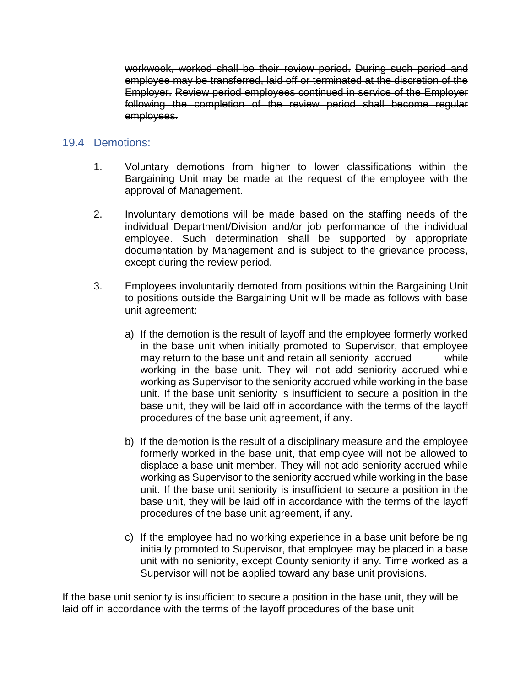workweek, worked shall be their review period. During such period and employee may be transferred, laid off or terminated at the discretion of the Employer. Review period employees continued in service of the Employer following the completion of the review period shall become regular employees.

# 19.4 Demotions:

- 1. Voluntary demotions from higher to lower classifications within the Bargaining Unit may be made at the request of the employee with the approval of Management.
- 2. Involuntary demotions will be made based on the staffing needs of the individual Department/Division and/or job performance of the individual employee. Such determination shall be supported by appropriate documentation by Management and is subject to the grievance process, except during the review period.
- 3. Employees involuntarily demoted from positions within the Bargaining Unit to positions outside the Bargaining Unit will be made as follows with base unit agreement:
	- a) If the demotion is the result of layoff and the employee formerly worked in the base unit when initially promoted to Supervisor, that employee may return to the base unit and retain all seniority accrued while working in the base unit. They will not add seniority accrued while working as Supervisor to the seniority accrued while working in the base unit. If the base unit seniority is insufficient to secure a position in the base unit, they will be laid off in accordance with the terms of the layoff procedures of the base unit agreement, if any.
	- b) If the demotion is the result of a disciplinary measure and the employee formerly worked in the base unit, that employee will not be allowed to displace a base unit member. They will not add seniority accrued while working as Supervisor to the seniority accrued while working in the base unit. If the base unit seniority is insufficient to secure a position in the base unit, they will be laid off in accordance with the terms of the layoff procedures of the base unit agreement, if any.
	- c) If the employee had no working experience in a base unit before being initially promoted to Supervisor, that employee may be placed in a base unit with no seniority, except County seniority if any. Time worked as a Supervisor will not be applied toward any base unit provisions.

If the base unit seniority is insufficient to secure a position in the base unit, they will be laid off in accordance with the terms of the layoff procedures of the base unit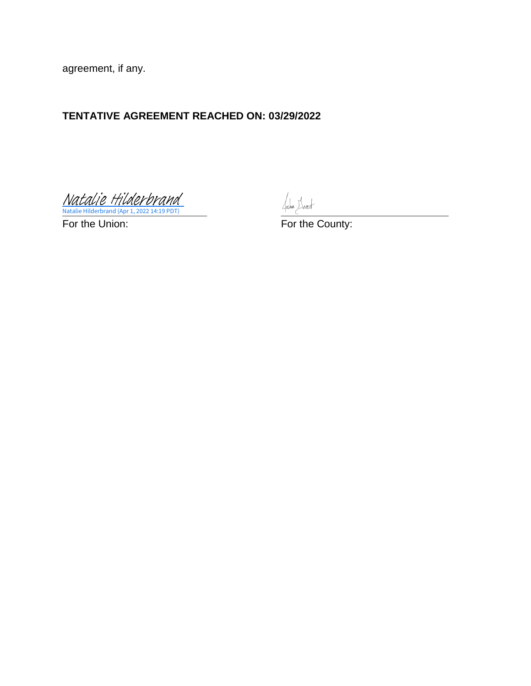agreement, if any.

# **TENTATIVE AGREEMENT REACHED ON: 03/29/2022**

**Natalie Hilderbrand (Apr 1, 2022 14:19 PDT)** [Natalie Hilderbrand](https://na4.documents.adobe.com/verifier?tx=CBJCHBCAABAAxQfR5bwrpv_ZHQVuzdGD8IiE0iSigpDA)

For the Union: For the County: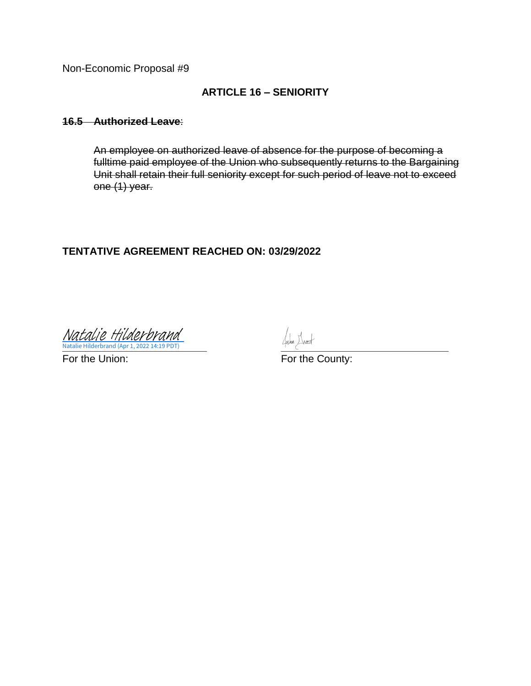Non-Economic Proposal #9

# **ARTICLE 16 – SENIORITY**

#### **16.5 Authorized Leave**:

An employee on authorized leave of absence for the purpose of becoming a fulltime paid employee of the Union who subsequently returns to the Bargaining Unit shall retain their full seniority except for such period of leave not to exceed one (1) year.

## **TENTATIVE AGREEMENT REACHED ON: 03/29/2022**

**Natalie Hilderbrand (Apr 1, 2022 14:19 PDT)** 2002 14:00 PDT (Page 2008) 2008 2009 2012 12:00 PDT (Page 2012) 2012 12:00 PDT (Page 2012) 2012 12:00 PDT (Page 2012) 2012 12:00 PDT (Page 2012) 2012 12:00 PDT (Page 2012) 2012 [Natalie Hilderbrand](https://na4.documents.adobe.com/verifier?tx=CBJCHBCAABAAxQfR5bwrpv_ZHQVuzdGD8IiE0iSigpDA)

For the Union: For the County: